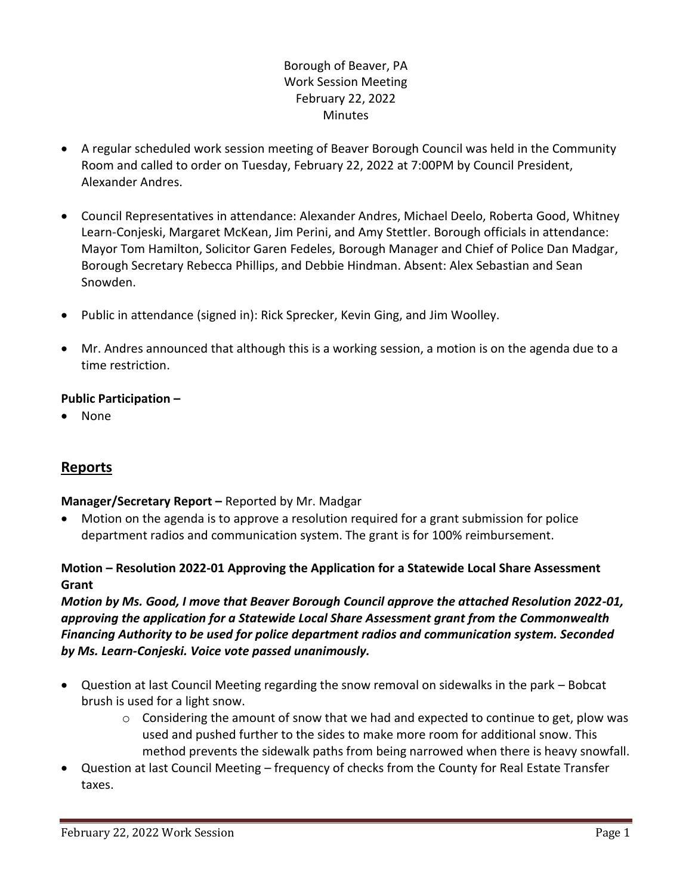# Borough of Beaver, PA Work Session Meeting February 22, 2022 Minutes

- A regular scheduled work session meeting of Beaver Borough Council was held in the Community Room and called to order on Tuesday, February 22, 2022 at 7:00PM by Council President, Alexander Andres.
- Council Representatives in attendance: Alexander Andres, Michael Deelo, Roberta Good, Whitney Learn-Conjeski, Margaret McKean, Jim Perini, and Amy Stettler. Borough officials in attendance: Mayor Tom Hamilton, Solicitor Garen Fedeles, Borough Manager and Chief of Police Dan Madgar, Borough Secretary Rebecca Phillips, and Debbie Hindman. Absent: Alex Sebastian and Sean Snowden.
- Public in attendance (signed in): Rick Sprecker, Kevin Ging, and Jim Woolley.
- Mr. Andres announced that although this is a working session, a motion is on the agenda due to a time restriction.

## **Public Participation –**

• None

# **Reports**

## **Manager/Secretary Report –** Reported by Mr. Madgar

• Motion on the agenda is to approve a resolution required for a grant submission for police department radios and communication system. The grant is for 100% reimbursement.

## **Motion – Resolution 2022-01 Approving the Application for a Statewide Local Share Assessment Grant**

# *Motion by Ms. Good, I move that Beaver Borough Council approve the attached Resolution 2022-01, approving the application for a Statewide Local Share Assessment grant from the Commonwealth Financing Authority to be used for police department radios and communication system. Seconded by Ms. Learn-Conjeski. Voice vote passed unanimously.*

- Question at last Council Meeting regarding the snow removal on sidewalks in the park Bobcat brush is used for a light snow.
	- $\circ$  Considering the amount of snow that we had and expected to continue to get, plow was used and pushed further to the sides to make more room for additional snow. This method prevents the sidewalk paths from being narrowed when there is heavy snowfall.
- Question at last Council Meeting frequency of checks from the County for Real Estate Transfer taxes.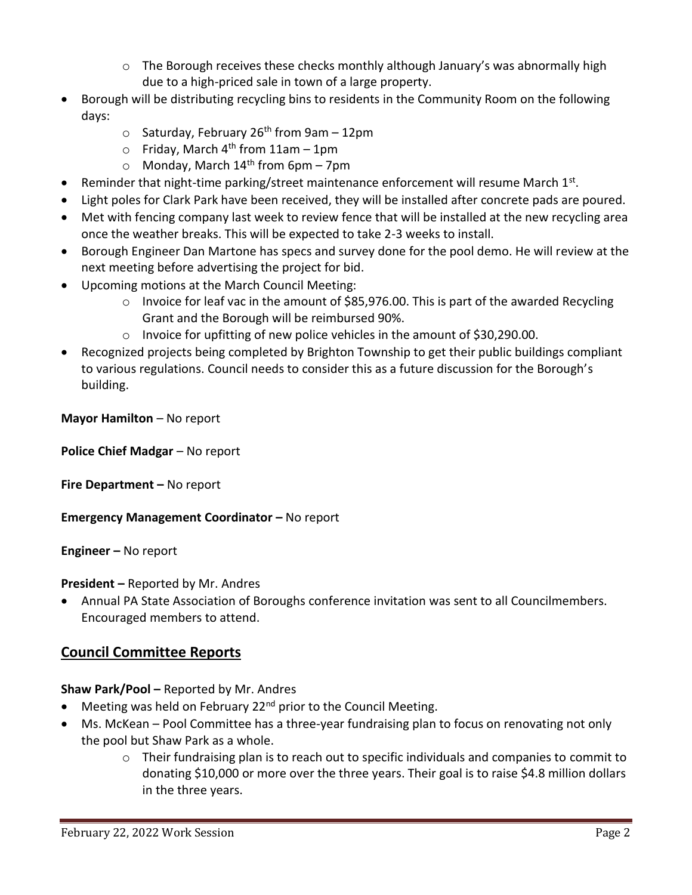- $\circ$  The Borough receives these checks monthly although January's was abnormally high due to a high-priced sale in town of a large property.
- Borough will be distributing recycling bins to residents in the Community Room on the following days:
	- $\circ$  Saturday, February 26<sup>th</sup> from 9am 12pm
	- $\circ$  Friday, March 4<sup>th</sup> from 11am 1pm
	- $\circ$  Monday, March 14<sup>th</sup> from 6pm 7pm
- Reminder that night-time parking/street maintenance enforcement will resume March  $1^{st}$ .
- Light poles for Clark Park have been received, they will be installed after concrete pads are poured.
- Met with fencing company last week to review fence that will be installed at the new recycling area once the weather breaks. This will be expected to take 2-3 weeks to install.
- Borough Engineer Dan Martone has specs and survey done for the pool demo. He will review at the next meeting before advertising the project for bid.
- Upcoming motions at the March Council Meeting:
	- o Invoice for leaf vac in the amount of \$85,976.00. This is part of the awarded Recycling Grant and the Borough will be reimbursed 90%.
	- o Invoice for upfitting of new police vehicles in the amount of \$30,290.00.
- Recognized projects being completed by Brighton Township to get their public buildings compliant to various regulations. Council needs to consider this as a future discussion for the Borough's building.

**Mayor Hamilton** – No report

**Police Chief Madgar** – No report

**Fire Department – No report** 

**Emergency Management Coordinator - No report** 

**Engineer –** No report

**President –** Reported by Mr. Andres

• Annual PA State Association of Boroughs conference invitation was sent to all Councilmembers. Encouraged members to attend.

# **Council Committee Reports**

**Shaw Park/Pool –** Reported by Mr. Andres

- Meeting was held on February 22<sup>nd</sup> prior to the Council Meeting.
- Ms. McKean Pool Committee has a three-year fundraising plan to focus on renovating not only the pool but Shaw Park as a whole.
	- $\circ$  Their fundraising plan is to reach out to specific individuals and companies to commit to donating \$10,000 or more over the three years. Their goal is to raise \$4.8 million dollars in the three years.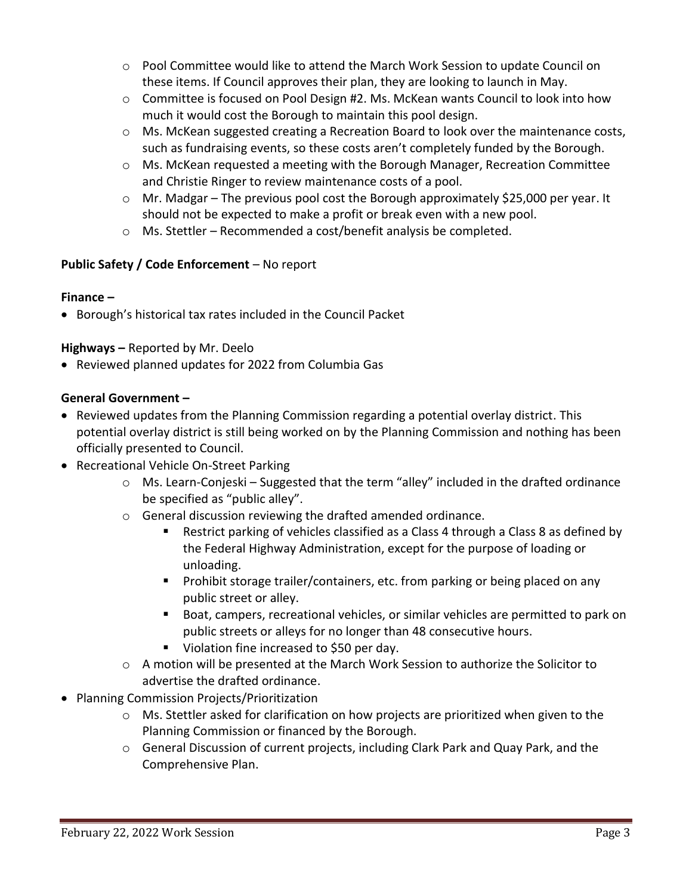- $\circ$  Pool Committee would like to attend the March Work Session to update Council on these items. If Council approves their plan, they are looking to launch in May.
- $\circ$  Committee is focused on Pool Design #2. Ms. McKean wants Council to look into how much it would cost the Borough to maintain this pool design.
- $\circ$  Ms. McKean suggested creating a Recreation Board to look over the maintenance costs, such as fundraising events, so these costs aren't completely funded by the Borough.
- o Ms. McKean requested a meeting with the Borough Manager, Recreation Committee and Christie Ringer to review maintenance costs of a pool.
- $\circ$  Mr. Madgar The previous pool cost the Borough approximately \$25,000 per year. It should not be expected to make a profit or break even with a new pool.
- o Ms. Stettler Recommended a cost/benefit analysis be completed.

# **Public Safety / Code Enforcement** – No report

#### **Finance –**

• Borough's historical tax rates included in the Council Packet

## **Highways –** Reported by Mr. Deelo

• Reviewed planned updates for 2022 from Columbia Gas

## **General Government –**

- Reviewed updates from the Planning Commission regarding a potential overlay district. This potential overlay district is still being worked on by the Planning Commission and nothing has been officially presented to Council.
- Recreational Vehicle On-Street Parking
	- o Ms. Learn-Conjeski Suggested that the term "alley" included in the drafted ordinance be specified as "public alley".
	- o General discussion reviewing the drafted amended ordinance.
		- Restrict parking of vehicles classified as a Class 4 through a Class 8 as defined by the Federal Highway Administration, except for the purpose of loading or unloading.
		- Prohibit storage trailer/containers, etc. from parking or being placed on any public street or alley.
		- Boat, campers, recreational vehicles, or similar vehicles are permitted to park on public streets or alleys for no longer than 48 consecutive hours.
		- Violation fine increased to \$50 per day.
	- o A motion will be presented at the March Work Session to authorize the Solicitor to advertise the drafted ordinance.
- Planning Commission Projects/Prioritization
	- o Ms. Stettler asked for clarification on how projects are prioritized when given to the Planning Commission or financed by the Borough.
	- o General Discussion of current projects, including Clark Park and Quay Park, and the Comprehensive Plan.